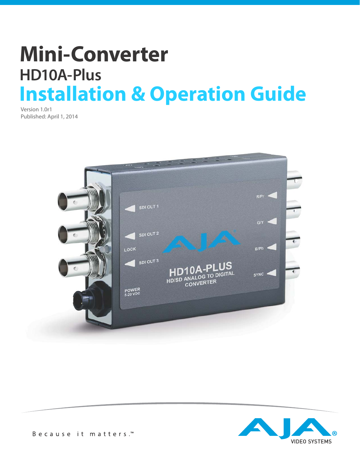# **Mini-Converter HD10A-Plus Installation & Operation Guide**

Version 1.0r1 Published: April 1, 2014



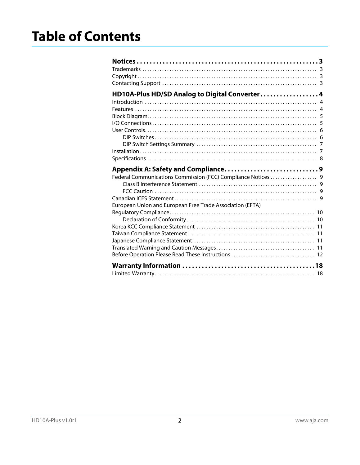| HD10A-Plus HD/SD Analog to Digital Converter 4                |  |
|---------------------------------------------------------------|--|
|                                                               |  |
|                                                               |  |
|                                                               |  |
|                                                               |  |
|                                                               |  |
|                                                               |  |
|                                                               |  |
|                                                               |  |
|                                                               |  |
|                                                               |  |
| Federal Communications Commission (FCC) Compliance Notices  9 |  |
|                                                               |  |
|                                                               |  |
|                                                               |  |
| European Union and European Free Trade Association (EFTA)     |  |
|                                                               |  |
|                                                               |  |
|                                                               |  |
|                                                               |  |
|                                                               |  |
|                                                               |  |
|                                                               |  |
|                                                               |  |
|                                                               |  |
|                                                               |  |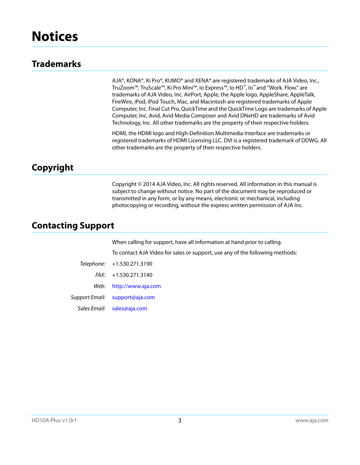### <span id="page-2-1"></span><span id="page-2-0"></span>**Trademarks**

AJA®, KONA®, Ki Pro®, KUMO® and XENA® are registered trademarks of AJA Video, Inc., TruZoom™, TruScale™, Ki Pro Mini™, Io Express™, Io HD™, Io™ and "Work. Flow." are trademarks of AJA Video, Inc. AirPort, Apple, the Apple logo, AppleShare, AppleTalk, FireWire, iPod, iPod Touch, Mac, and Macintosh are registered trademarks of Apple Computer, Inc. Final Cut Pro, QuickTime and the QuickTime Logo are trademarks of Apple Computer, Inc. Avid, Avid Media Composer and Avid DNxHD are trademarks of Avid Technology, Inc. All other trademarks are the property of their respective holders.

HDMI, the HDMI logo and High-Definition Multimedia Interface are trademarks or registered trademarks of HDMI Licensing LLC. DVI is a registered trademark of DDWG. All other trademarks are the property of their respective holders.

#### <span id="page-2-2"></span>**Copyright**

Copyright © 2014 AJA Video, Inc. All rights reserved. All information in this manual is subject to change without notice. No part of the document may be reproduced or transmitted in any form, or by any means, electronic or mechanical, including photocopying or recording, without the express written permission of AJA Inc.

### <span id="page-2-3"></span>**Contacting Support**

When calling for support, have all information at hand prior to calling.

To contact AJA Video for sales or support, use any of the following methods:

|              | Telephone: +1.530.271.3190     |
|--------------|--------------------------------|
|              | $FAX: +1.530.271.3140$         |
|              | Web: http://www.aja.com        |
|              | Support Email: support@aja.com |
| Sales Email: | sales@aja.com                  |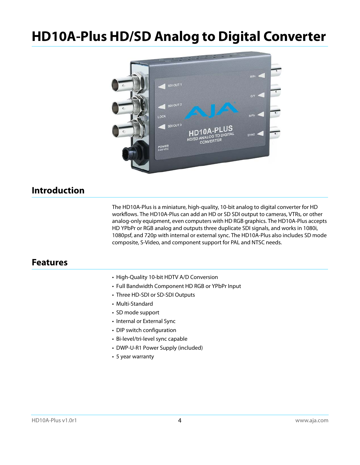# <span id="page-3-0"></span>**HD10A-Plus HD/SD Analog to Digital Converter**



### <span id="page-3-1"></span>**Introduction**

The HD10A-Plus is a miniature, high-quality, 10-bit analog to digital converter for HD workflows. The HD10A-Plus can add an HD or SD SDI output to cameras, VTRs, or other analog-only equipment, even computers with HD RGB graphics. The HD10A-Plus accepts HD YPbPr or RGB analog and outputs three duplicate SDI signals, and works in 1080i, 1080psf, and 720p with internal or external sync. The HD10A-Plus also includes SD mode composite, S-Video, and component support for PAL and NTSC needs.

#### <span id="page-3-2"></span>**Features**

- High-Quality 10-bit HDTV A/D Conversion
- Full Bandwidth Component HD RGB or YPbPr Input
- Three HD-SDI or SD-SDI Outputs
- Multi-Standard
- SD mode support
- Internal or External Sync
- DIP switch configuration
- Bi-level/tri-level sync capable
- DWP-U-R1 Power Supply (included)
- 5 year warranty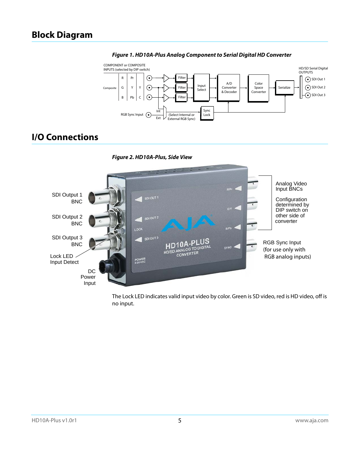## *Figure 1. HD10A-Plus Analog Component to Serial Digital HD Converter*

<span id="page-4-0"></span>

### <span id="page-4-1"></span>**I/O Connections**





The Lock LED indicates valid input video by color. Green is SD video, red is HD video, off is no input.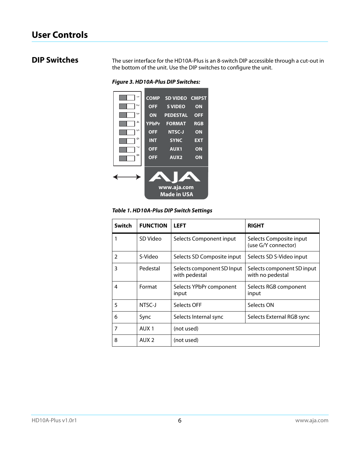<span id="page-5-1"></span><span id="page-5-0"></span>**DIP Switches** The user interface for the HD10A-Plus is an 8-switch DIP accessible through a cut-out in the bottom of the unit. Use the DIP switches to configure the unit.

*Figure 3. HD10A-Plus DIP Switches:*



*Table 1. HD10A-Plus DIP Switch Settings*

|                | <b>COMP</b><br>$\sim$<br><b>OFF</b><br>ω<br>ON<br>4<br><b>YPbPr</b><br>UΠ<br><b>OFF</b><br>G<br><b>INT</b><br><b>OFF</b><br>$\infty$<br><b>OFF</b> | <b>SD VIDEO</b><br><b>CMPST</b><br><b>S VIDEO</b><br>ON<br><b>PEDESTAL</b><br><b>OFF</b><br><b>FORMAT</b><br><b>RGB</b><br>NTSC-J<br>ON<br><b>SYNC</b><br><b>EXT</b><br><b>AUX1</b><br>ON<br>AUX <sub>2</sub><br>ON<br>www.aja.com<br><b>Made in USA</b><br>Table 1. HD10A-Plus DIP Switch Settings |                                                |
|----------------|----------------------------------------------------------------------------------------------------------------------------------------------------|-----------------------------------------------------------------------------------------------------------------------------------------------------------------------------------------------------------------------------------------------------------------------------------------------------|------------------------------------------------|
| <b>Switch</b>  | <b>FUNCTION</b>                                                                                                                                    | <b>LEFT</b>                                                                                                                                                                                                                                                                                         | <b>RIGHT</b>                                   |
| 1              | SD Video                                                                                                                                           | Selects Component input                                                                                                                                                                                                                                                                             | Selects Composite input<br>(use G/Y connector) |
| $\overline{2}$ | S-Video                                                                                                                                            | Selects SD Composite input                                                                                                                                                                                                                                                                          | Selects SD S-Video input                       |
|                |                                                                                                                                                    |                                                                                                                                                                                                                                                                                                     |                                                |
| 3              | Pedestal                                                                                                                                           | Selects component SD Input<br>with pedestal                                                                                                                                                                                                                                                         | Selects component SD input<br>with no pedestal |
| 4              | Format                                                                                                                                             | Selects YPbPr component<br>input                                                                                                                                                                                                                                                                    | Selects RGB component<br>input                 |
| 5              | NTSC-J                                                                                                                                             | Selects OFF                                                                                                                                                                                                                                                                                         | Selects ON                                     |
| 6              | Sync                                                                                                                                               | Selects Internal sync                                                                                                                                                                                                                                                                               | Selects External RGB sync                      |
| 7              | AUX <sub>1</sub>                                                                                                                                   | (not used)                                                                                                                                                                                                                                                                                          |                                                |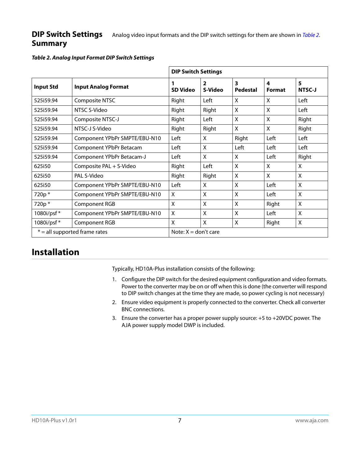#### <span id="page-6-0"></span>**DIP Switch Settings Summary** Analog video input formats and the DIP switch settings for them are shown in [Table 2](#page-6-2).

<span id="page-6-2"></span>

|  |  | Table 2. Analog Input Format DIP Switch Settings |
|--|--|--------------------------------------------------|
|--|--|--------------------------------------------------|

|                                 |                               | <b>DIP Switch Settings</b> |                           |                      |                    |                    |
|---------------------------------|-------------------------------|----------------------------|---------------------------|----------------------|--------------------|--------------------|
| <b>Input Std</b>                | <b>Input Analog Format</b>    | 1<br><b>SD Video</b>       | $\overline{2}$<br>S-Video | 3<br><b>Pedestal</b> | 4<br><b>Format</b> | 5<br><b>NTSC-J</b> |
| 525i59.94                       | Composite NTSC                | Right                      | Left                      | X                    | X                  | Left               |
| 525i59.94                       | NTSC S-Video                  | Right                      | Right                     | X                    | X                  | Left               |
| 525i59.94                       | Composite NTSC-J              | Right                      | Left                      | X                    | X                  | Right              |
| 525i59.94                       | NTSC-J S-Video                | Right                      | Right                     | X                    | X                  | Right              |
| 525i59.94                       | Component YPbPr SMPTE/EBU-N10 | Left                       | X                         | Right                | Left               | Left               |
| 525i59.94                       | Component YPbPr Betacam       | Left                       | X                         | Left                 | Left               | Left               |
| 525i59.94                       | Component YPbPr Betacam-J     | Left                       | X                         | X                    | Left               | Right              |
| 625i50                          | Composite PAL + S-Video       | Right                      | Left                      | X                    | X                  | X                  |
| 625i50                          | PAI S-Video                   | Right                      | Right                     | $\mathsf{X}$         | $\mathsf{X}$       | $\mathsf{X}$       |
| 625i50                          | Component YPbPr SMPTE/EBU-N10 | Left                       | X                         | $\mathsf{X}$         | Left               | $\mathsf{X}$       |
| 720p*                           | Component YPbPr SMPTE/EBU-N10 | X                          | $\mathsf{X}$              | $\mathsf{X}$         | Left               | $\mathsf{X}$       |
| 720p*                           | <b>Component RGB</b>          | $\mathsf{X}$               | $\mathsf{X}$              | $\mathsf{X}$         | Right              | $\mathsf{X}$       |
| 1080i/psf*                      | Component YPbPr SMPTE/EBU-N10 | X                          | X                         | X                    | Left               | X                  |
| 1080i/psf*                      | Component RGB                 | $\boldsymbol{\mathsf{X}}$  | X                         | X                    | Right              | X                  |
| $* =$ all supported frame rates |                               | Note: $X =$ don't care     |                           |                      |                    |                    |

### <span id="page-6-1"></span>**Installation**

Typically, HD10A-Plus installation consists of the following:

- 1. Configure the DIP switch for the desired equipment configuration and video formats. Power to the converter may be on or off when this is done (the converter will respond to DIP switch changes at the time they are made, so power cycling is not necessary)
- 2. Ensure video equipment is properly connected to the converter. Check all converter BNC connections.
- 3. Ensure the converter has a proper power supply source: +5 to +20VDC power. The AJA power supply model DWP is included.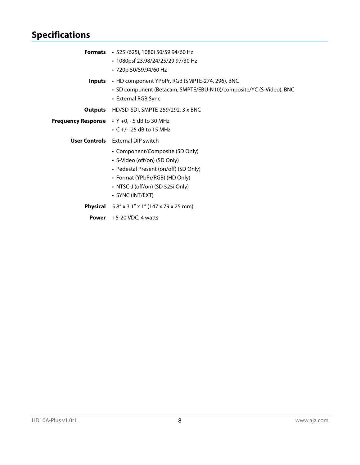## <span id="page-7-0"></span>**Specifications**

|       | <b>Formats</b> $\cdot$ 525i/625i, 1080i 50/59.94/60 Hz                                     |
|-------|--------------------------------------------------------------------------------------------|
|       | • 1080psf 23.98/24/25/29.97/30 Hz                                                          |
|       | • 720p 50/59.94/60 Hz                                                                      |
|       | <b>Inputs</b> • HD component YPbPr, RGB (SMPTE-274, 296), BNC                              |
|       | · SD component (Betacam, SMPTE/EBU-N10)/composite/YC (S-Video), BNC<br>• External RGB Sync |
|       |                                                                                            |
|       | <b>Outputs</b> HD/SD-SDI, SMPTE-259/292, 3 x BNC                                           |
|       | Frequency Response • Y +0, -.5 dB to 30 MHz                                                |
|       | • $C +$ - .25 dB to 15 MHz                                                                 |
|       | <b>User Controls</b> External DIP switch                                                   |
|       | • Component/Composite (SD Only)                                                            |
|       | • S-Video (off/on) (SD Only)                                                               |
|       | • Pedestal Present (on/off) (SD Only)                                                      |
|       | • Format (YPbPr/RGB) (HD Only)                                                             |
|       | • NTSC-J (off/on) (SD 525i Only)                                                           |
|       | • SYNC (INT/EXT)                                                                           |
|       | <b>Physical</b> $5.8'' \times 3.1'' \times 1''$ (147 x 79 x 25 mm)                         |
| Power | $+5-20$ VDC, 4 watts                                                                       |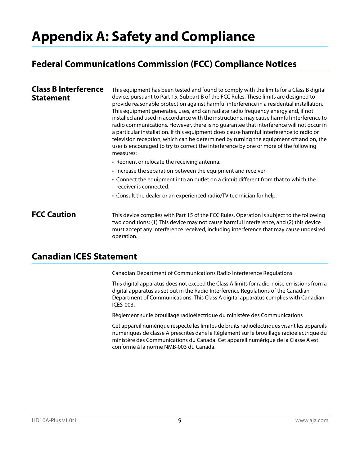# <span id="page-8-0"></span>**Appendix A: Safety and Compliance**

### <span id="page-8-1"></span>**Federal Communications Commission (FCC) Compliance Notices**

<span id="page-8-2"></span>

| <b>Class B Interference</b><br><b>Statement</b> | This equipment has been tested and found to comply with the limits for a Class B digital<br>device, pursuant to Part 15, Subpart B of the FCC Rules. These limits are designed to<br>provide reasonable protection against harmful interference in a residential installation.<br>This equipment generates, uses, and can radiate radio frequency energy and, if not<br>installed and used in accordance with the instructions, may cause harmful interference to<br>radio communications. However, there is no quarantee that interference will not occur in<br>a particular installation. If this equipment does cause harmful interference to radio or<br>television reception, which can be determined by turning the equipment off and on, the<br>user is encouraged to try to correct the interference by one or more of the following<br>measures: |  |  |
|-------------------------------------------------|-----------------------------------------------------------------------------------------------------------------------------------------------------------------------------------------------------------------------------------------------------------------------------------------------------------------------------------------------------------------------------------------------------------------------------------------------------------------------------------------------------------------------------------------------------------------------------------------------------------------------------------------------------------------------------------------------------------------------------------------------------------------------------------------------------------------------------------------------------------|--|--|
|                                                 | • Reorient or relocate the receiving antenna.                                                                                                                                                                                                                                                                                                                                                                                                                                                                                                                                                                                                                                                                                                                                                                                                             |  |  |
|                                                 | • Increase the separation between the equipment and receiver.                                                                                                                                                                                                                                                                                                                                                                                                                                                                                                                                                                                                                                                                                                                                                                                             |  |  |
|                                                 | • Connect the equipment into an outlet on a circuit different from that to which the<br>receiver is connected.                                                                                                                                                                                                                                                                                                                                                                                                                                                                                                                                                                                                                                                                                                                                            |  |  |
|                                                 | • Consult the dealer or an experienced radio/TV technician for help.                                                                                                                                                                                                                                                                                                                                                                                                                                                                                                                                                                                                                                                                                                                                                                                      |  |  |
| <b>FCC Caution</b>                              | This device complies with Part 15 of the FCC Rules. Operation is subject to the following                                                                                                                                                                                                                                                                                                                                                                                                                                                                                                                                                                                                                                                                                                                                                                 |  |  |

two conditions: (1) This device may not cause harmful interference, and (2) this device must accept any interference received, including interference that may cause undesired operation.

#### <span id="page-8-4"></span><span id="page-8-3"></span>**Canadian ICES Statement**

Canadian Department of Communications Radio Interference Regulations

This digital apparatus does not exceed the Class A limits for radio-noise emissions from a digital apparatus as set out in the Radio Interference Regulations of the Canadian Department of Communications. This Class A digital apparatus complies with Canadian ICES-003.

Règlement sur le brouillage radioélectrique du ministère des Communications

Cet appareil numérique respecte les limites de bruits radioélectriques visant les appareils numériques de classe A prescrites dans le Règlement sur le brouillage radioélectrique du ministère des Communications du Canada. Cet appareil numérique de la Classe A est conforme à la norme NMB-003 du Canada.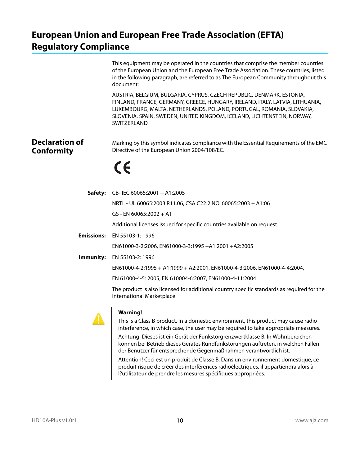## <span id="page-9-0"></span>**European Union and European Free Trade Association (EFTA) Regulatory Compliance**

<span id="page-9-1"></span>

|                                            | This equipment may be operated in the countries that comprise the member countries<br>of the European Union and the European Free Trade Association. These countries, listed<br>in the following paragraph, are referred to as The European Community throughout this<br>document:                                       |
|--------------------------------------------|--------------------------------------------------------------------------------------------------------------------------------------------------------------------------------------------------------------------------------------------------------------------------------------------------------------------------|
|                                            | AUSTRIA, BELGIUM, BULGARIA, CYPRUS, CZECH REPUBLIC, DENMARK, ESTONIA,<br>FINLAND, FRANCE, GERMANY, GREECE, HUNGARY, IRELAND, ITALY, LATVIA, LITHUANIA,<br>LUXEMBOURG, MALTA, NETHERLANDS, POLAND, PORTUGAL, ROMANIA, SLOVAKIA,<br>SLOVENIA, SPAIN, SWEDEN, UNITED KINGDOM, ICELAND, LICHTENSTEIN, NORWAY,<br>SWITZERLAND |
| <b>Declaration of</b><br><b>Conformity</b> | Marking by this symbol indicates compliance with the Essential Requirements of the EMC<br>Directive of the European Union 2004/108/EC.                                                                                                                                                                                   |
|                                            | CE                                                                                                                                                                                                                                                                                                                       |
| Safety:                                    | CB-IEC 60065:2001 + A1:2005                                                                                                                                                                                                                                                                                              |
|                                            | NRTL - UL 60065:2003 R11.06, CSA C22.2 NO. 60065:2003 + A1:06                                                                                                                                                                                                                                                            |
|                                            | $GS - EN 60065:2002 + A1$                                                                                                                                                                                                                                                                                                |
|                                            | Additional licenses issued for specific countries available on request.                                                                                                                                                                                                                                                  |
| <b>Emissions:</b>                          | EN 55103-1: 1996                                                                                                                                                                                                                                                                                                         |
|                                            | EN61000-3-2:2006, EN61000-3-3:1995 +A1:2001 +A2:2005                                                                                                                                                                                                                                                                     |
| Immunity:                                  | EN 55103-2: 1996                                                                                                                                                                                                                                                                                                         |
|                                            | EN61000-4-2:1995 + A1:1999 + A2:2001, EN61000-4-3:2006, EN61000-4-4:2004,                                                                                                                                                                                                                                                |
|                                            | EN 61000-4-5: 2005, EN 610004-6:2007, EN61000-4-11:2004                                                                                                                                                                                                                                                                  |
|                                            | The product is also licensed for additional country specific standards as required for the<br><b>International Marketplace</b>                                                                                                                                                                                           |
|                                            | <b>Warning!</b>                                                                                                                                                                                                                                                                                                          |
|                                            | This is a Class B product. In a domestic environment, this product may cause radio<br>interference, in which case, the user may be required to take appropriate measures.                                                                                                                                                |
|                                            | Achtung! Dieses ist ein Gerät der Funkstörgrenzwertklasse B. In Wohnbereichen<br>können bei Betrieb dieses Gerätes Rundfunkstörungen auftreten, in welchen Fällen<br>der Benutzer für entsprechende Gegenmaßnahmen verantwortlich ist.                                                                                   |

Attention! Ceci est un produit de Classe B. Dans un environnement domestique, ce produit risque de créer des interférences radioélectriques, il appartiendra alors à l?utilisateur de prendre les mesures spécifiques appropriées.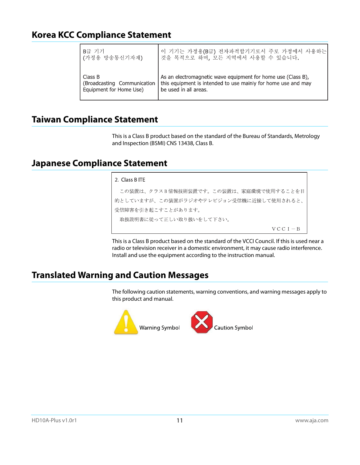### <span id="page-10-0"></span>**Korea KCC Compliance Statement**

| │B급 기기                      | 이 기기는 가정용(B급) 전자파적합기기로서 주로 가정에서 사용하는                          |
|-----------------------------|---------------------------------------------------------------|
| (가정용 방송통신기자재)               | 것을 목적으로 하며, 모든 지역에서 사용할 수 있습니다.                               |
| Class B                     | As an electromagnetic wave equipment for home use (Class B),  |
| (Broadcasting Communication | this equipment is intended to use mainly for home use and may |
| Equipment for Home Use)     | be used in all areas.                                         |

#### <span id="page-10-1"></span>**Taiwan Compliance Statement**

This is a Class B product based on the standard of the Bureau of Standards, Metrology and Inspection (BSMI) CNS 13438, Class B.

#### <span id="page-10-2"></span>**Japanese Compliance Statement**

#### 2. Class B ITE

この装置は、クラスB情報技術装置です。この装置は、家庭環境で使用することを目 的としていますが、この装置がラジオやテレビジョン受信機に近接して使用されると、 受信障害を引き起こすことがあります。 取扱説明書に従って正しい取り扱いをして下さい。  ${\rm V}\,{\rm C}\,{\rm C}$ I $-$ B

This is a Class B product based on the standard of the VCCI Council. If this is used near a radio or television receiver in a domestic environment, it may cause radio interference. Install and use the equipment according to the instruction manual.

#### <span id="page-10-3"></span>**Translated Warning and Caution Messages**

The following caution statements, warning conventions, and warning messages apply to this product and manual.

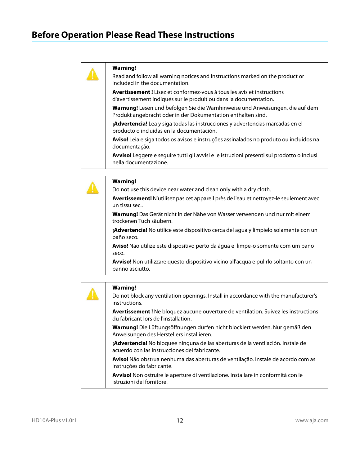<span id="page-11-0"></span>Read and follow all warning notices and instructions marked on the product or included in the documentation.

**Avertissement !** Lisez et conformez-vous à tous les avis et instructions d'avertissement indiqués sur le produit ou dans la documentation.

**Warnung!** Lesen und befolgen Sie die Warnhinweise und Anweisungen, die auf dem Produkt angebracht oder in der Dokumentation enthalten sind.

**¡Advertencia!** Lea y siga todas las instrucciones y advertencias marcadas en el producto o incluidas en la documentación.

**Aviso!** Leia e siga todos os avisos e instruções assinalados no produto ou incluídos na documentação.

**Avviso!** Leggere e seguire tutti gli avvisi e le istruzioni presenti sul prodotto o inclusi nella documentazione.

| <b>Warning!</b>                                                                                               |
|---------------------------------------------------------------------------------------------------------------|
| Do not use this device near water and clean only with a dry cloth.                                            |
| Avertissement! N'utilisez pas cet appareil près de l'eau et nettoyez-le seulement avec<br>un tissu sec        |
| <b>Warnung!</b> Das Gerät nicht in der Nähe von Wasser verwenden und nur mit einem<br>trockenen Tuch säubern. |
| <b>¡Advertencia!</b> No utilice este dispositivo cerca del agua y límpielo solamente con un<br>paño seco.     |
| <b>Aviso!</b> Não utilize este dispositivo perto da água e limpe-o somente com um pano<br>seco.               |
| Avviso! Non utilizzare questo dispositivo vicino all'acqua e pulirlo soltanto con un<br>panno asciutto.       |

| <b>Warning!</b><br>Do not block any ventilation openings. Install in accordance with the manufacturer's                           |
|-----------------------------------------------------------------------------------------------------------------------------------|
| instructions.                                                                                                                     |
| <b>Avertissement!</b> Ne bloquez aucune ouverture de ventilation. Suivez les instructions<br>du fabricant lors de l'installation. |
| Warnung! Die Lüftungsöffnungen dürfen nicht blockiert werden. Nur gemäß den<br>Anweisungen des Herstellers installieren.          |
| ¡Advertencia! No bloquee ninguna de las aberturas de la ventilación. Instale de<br>acuerdo con las instrucciones del fabricante.  |
| Aviso! Não obstrua nenhuma das aberturas de ventilação. Instale de acordo com as<br>instruções do fabricante.                     |
| Avviso! Non ostruire le aperture di ventilazione. Installare in conformità con le<br>istruzioni del fornitore.                    |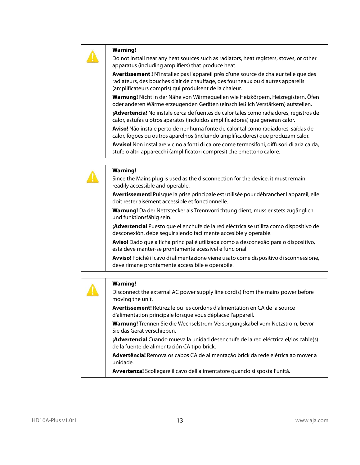Do not install near any heat sources such as radiators, heat registers, stoves, or other apparatus (including amplifiers) that produce heat.

**Avertissement !** N'installez pas l'appareil près d'une source de chaleur telle que des radiateurs, des bouches d'air de chauffage, des fourneaux ou d'autres appareils (amplificateurs compris) qui produisent de la chaleur.

**Warnung!** Nicht in der Nähe von Wärmequellen wie Heizkörpern, Heizregistern, Öfen oder anderen Wärme erzeugenden Geräten (einschließlich Verstärkern) aufstellen.

**¡Advertencia!** No instale cerca de fuentes de calor tales como radiadores, registros de calor, estufas u otros aparatos (incluidos amplificadores) que generan calor.

**Aviso!** Não instale perto de nenhuma fonte de calor tal como radiadores, saídas de calor, fogões ou outros aparelhos (incluindo amplificadores) que produzam calor.

**Avviso!** Non installare vicino a fonti di calore come termosifoni, diffusori di aria calda, stufe o altri apparecchi (amplificatori compresi) che emettono calore.

| <b>Warning!</b>                                                                                                                                            |
|------------------------------------------------------------------------------------------------------------------------------------------------------------|
| Since the Mains plug is used as the disconnection for the device, it must remain<br>readily accessible and operable.                                       |
| Avertissement! Puisque la prise principale est utilisée pour débrancher l'appareil, elle<br>doit rester aisément accessible et fonctionnelle.              |
| Warnung! Da der Netzstecker als Trennvorrichtung dient, muss er stets zugänglich<br>und funktionsfähig sein.                                               |
| ¡Advertencia! Puesto que el enchufe de la red eléctrica se utiliza como dispositivo de<br>desconexión, debe seguir siendo fácilmente accesible y operable. |
| Aviso! Dado que a ficha principal é utilizada como a desconexão para o dispositivo,<br>esta deve manter-se prontamente acessível e funcional.              |
| Avviso! Poiché il cavo di alimentazione viene usato come dispositivo di sconnessione,<br>deve rimane prontamente accessibile e operabile.                  |

|  | <b>Warning!</b>                                                                                                                                  |
|--|--------------------------------------------------------------------------------------------------------------------------------------------------|
|  | Disconnect the external AC power supply line cord(s) from the mains power before<br>moving the unit.                                             |
|  | <b>Avertissement!</b> Retirez le ou les cordons d'alimentation en CA de la source<br>d'alimentation principale lorsque vous déplacez l'appareil. |
|  | Warnung! Trennen Sie die Wechselstrom-Versorgungskabel vom Netzstrom, bevor<br>Sie das Gerät verschieben.                                        |
|  | <b>¡Advertencia!</b> Cuando mueva la unidad desenchufe de la red eléctrica el/los cable(s)<br>de la fuente de alimentación CA tipo brick.        |
|  | Advertência! Remova os cabos CA de alimentação brick da rede elétrica ao mover a<br>unidade.                                                     |
|  | Avvertenza! Scollegare il cavo dell'alimentatore quando si sposta l'unità.                                                                       |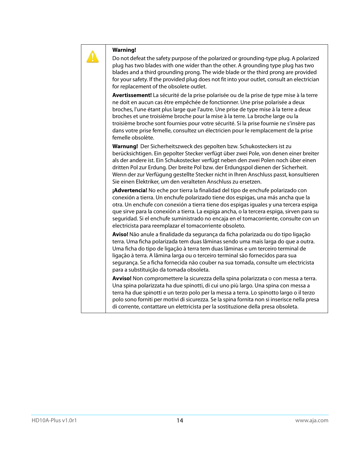Do not defeat the safety purpose of the polarized or grounding-type plug. A polarized plug has two blades with one wider than the other. A grounding type plug has two blades and a third grounding prong. The wide blade or the third prong are provided for your safety. If the provided plug does not fit into your outlet, consult an electrician for replacement of the obsolete outlet.

**Avertissement!** La sécurité de la prise polarisée ou de la prise de type mise à la terre ne doit en aucun cas être empêchée de fonctionner. Une prise polarisée a deux broches, l'une étant plus large que l'autre. Une prise de type mise à la terre a deux broches et une troisième broche pour la mise à la terre. La broche large ou la troisième broche sont fournies pour votre sécurité. Si la prise fournie ne s'insère pas dans votre prise femelle, consultez un électricien pour le remplacement de la prise femelle obsolète.

**Warnung!** Der Sicherheitszweck des gepolten bzw. Schukosteckers ist zu berücksichtigen. Ein gepolter Stecker verfügt über zwei Pole, von denen einer breiter als der andere ist. Ein Schukostecker verfügt neben den zwei Polen noch über einen dritten Pol zur Erdung. Der breite Pol bzw. der Erdungspol dienen der Sicherheit. Wenn der zur Verfügung gestellte Stecker nicht in Ihren Anschluss passt, konsultieren Sie einen Elektriker, um den veralteten Anschluss zu ersetzen.

**¡Advertencia!** No eche por tierra la finalidad del tipo de enchufe polarizado con conexión a tierra. Un enchufe polarizado tiene dos espigas, una más ancha que la otra. Un enchufe con conexión a tierra tiene dos espigas iguales y una tercera espiga que sirve para la conexión a tierra. La expiga ancha, o la tercera espiga, sirven para su seguridad. Si el enchufe suministrado no encaja en el tomacorriente, consulte con un electricista para reemplazar el tomacorriente obsoleto.

**Aviso!** Não anule a finalidade da segurança da ficha polarizada ou do tipo ligação terra. Uma ficha polarizada tem duas lâminas sendo uma mais larga do que a outra. Uma ficha do tipo de ligação à terra tem duas lâminas e um terceiro terminal de ligação à terra. A lâmina larga ou o terceiro terminal são fornecidos para sua segurança. Se a ficha fornecida não couber na sua tomada, consulte um electricista para a substituição da tomada obsoleta.

**Avviso!** Non compromettere la sicurezza della spina polarizzata o con messa a terra. Una spina polarizzata ha due spinotti, di cui uno più largo. Una spina con messa a terra ha due spinotti e un terzo polo per la messa a terra. Lo spinotto largo o il terzo polo sono forniti per motivi di sicurezza. Se la spina fornita non si inserisce nella presa di corrente, contattare un elettricista per la sostituzione della presa obsoleta.

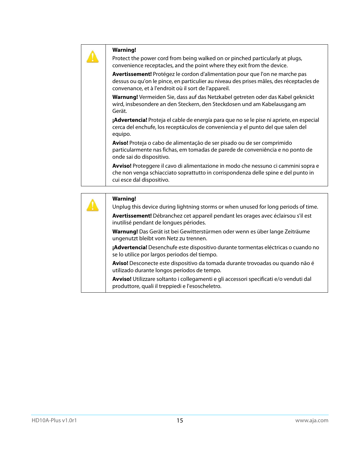Protect the power cord from being walked on or pinched particularly at plugs, convenience receptacles, and the point where they exit from the device.

**Avertissement!** Protégez le cordon d'alimentation pour que l'on ne marche pas dessus ou qu'on le pince, en particulier au niveau des prises mâles, des réceptacles de convenance, et à l'endroit où il sort de l'appareil.

**Warnung!** Vermeiden Sie, dass auf das Netzkabel getreten oder das Kabel geknickt wird, insbesondere an den Steckern, den Steckdosen und am Kabelausgang am Gerät.

**¡Advertencia!** Proteja el cable de energía para que no se le pise ni apriete, en especial cerca del enchufe, los receptáculos de conveniencia y el punto del que salen del equipo.

**Aviso!** Proteja o cabo de alimentação de ser pisado ou de ser comprimido particularmente nas fichas, em tomadas de parede de conveniência e no ponto de onde sai do dispositivo.

**Avviso!** Proteggere il cavo di alimentazione in modo che nessuno ci cammini sopra e che non venga schiacciato soprattutto in corrispondenza delle spine e del punto in cui esce dal dispositivo.

|  | <b>Warning!</b><br>Unplug this device during lightning storms or when unused for long periods of time.                                     |
|--|--------------------------------------------------------------------------------------------------------------------------------------------|
|  |                                                                                                                                            |
|  | Avertissement! Débranchez cet appareil pendant les orages avec éclairsou s'il est<br>inutilisé pendant de longues périodes.                |
|  | Warnung! Das Gerät ist bei Gewitterstürmen oder wenn es über lange Zeiträume<br>ungenutzt bleibt vom Netz zu trennen.                      |
|  | ¡Advertencia! Desenchufe este dispositivo durante tormentas eléctricas o cuando no<br>se lo utilice por largos periodos del tiempo.        |
|  | Aviso! Desconecte este dispositivo da tomada durante trovoadas ou quando não é<br>utilizado durante longos períodos de tempo.              |
|  | Avviso! Utilizzare soltanto i collegamenti e gli accessori specificati e/o venduti dal<br>produttore, quali il treppiedi e l'esoscheletro. |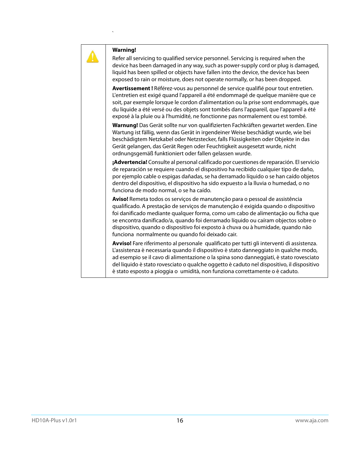`

**Warning!** 

Refer all servicing to qualified service personnel. Servicing is required when the device has been damaged in any way, such as power-supply cord or plug is damaged, liquid has been spilled or objects have fallen into the device, the device has been exposed to rain or moisture, does not operate normally, or has been dropped.

**Avertissement !** Référez-vous au personnel de service qualifié pour tout entretien. L'entretien est exigé quand l'appareil a été endommagé de quelque manière que ce soit, par exemple lorsque le cordon d'alimentation ou la prise sont endommagés, que du liquide a été versé ou des objets sont tombés dans l'appareil, que l'appareil a été exposé à la pluie ou à l'humidité, ne fonctionne pas normalement ou est tombé.

**Warnung!** Das Gerät sollte nur von qualifizierten Fachkräften gewartet werden. Eine Wartung ist fällig, wenn das Gerät in irgendeiner Weise beschädigt wurde, wie bei beschädigtem Netzkabel oder Netzstecker, falls Flüssigkeiten oder Objekte in das Gerät gelangen, das Gerät Regen oder Feuchtigkeit ausgesetzt wurde, nicht ordnungsgemäß funktioniert oder fallen gelassen wurde.

**¡Advertencia!** Consulte al personal calificado por cuestiones de reparación. El servicio de reparación se requiere cuando el dispositivo ha recibido cualquier tipo de daño, por ejemplo cable o espigas dañadas, se ha derramado líquido o se han caído objetos dentro del dispositivo, el dispositivo ha sido expuesto a la lluvia o humedad, o no funciona de modo normal, o se ha caído.

**Aviso!** Remeta todos os serviços de manutenção para o pessoal de assistência qualificado. A prestação de serviços de manutenção é exigida quando o dispositivo foi danificado mediante qualquer forma, como um cabo de alimentação ou ficha que se encontra danificado/a, quando foi derramado líquido ou caíram objectos sobre o dispositivo, quando o dispositivo foi exposto à chuva ou à humidade, quando não funciona normalmente ou quando foi deixado cair.

**Avviso!** Fare riferimento al personale qualificato per tutti gli interventi di assistenza. L'assistenza è necessaria quando il dispositivo è stato danneggiato in qualche modo, ad esempio se il cavo di alimentazione o la spina sono danneggiati, è stato rovesciato del liquido è stato rovesciato o qualche oggetto è caduto nel dispositivo, il dispositivo è stato esposto a pioggia o umidità, non funziona correttamente o è caduto.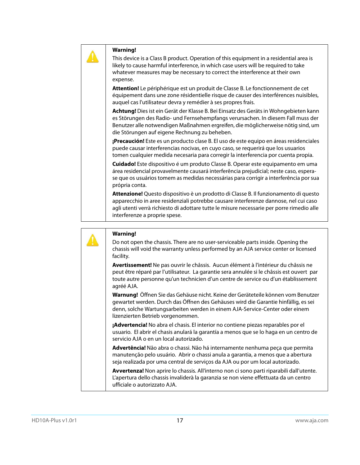This device is a Class B product. Operation of this equipment in a residential area is likely to cause harmful interference, in which case users will be required to take whatever measures may be necessary to correct the interference at their own expense.

**Attention!** Le périphérique est un produit de Classe B. Le fonctionnement de cet équipement dans une zone résidentielle risque de causer des interférences nuisibles, auquel cas l'utilisateur devra y remédier à ses propres frais.

**Achtung!** Dies ist ein Gerät der Klasse B. Bei Einsatz des Geräts in Wohngebieten kann es Störungen des Radio- und Fernsehempfangs verursachen. In diesem Fall muss der Benutzer alle notwendigen Maßnahmen ergreifen, die möglicherweise nötig sind, um die Störungen auf eigene Rechnung zu beheben.

**¡Precaución!** Este es un producto clase B. El uso de este equipo en áreas residenciales puede causar interferencias nocivas, en cuyo caso, se requerirá que los usuarios tomen cualquier medida necesaria para corregir la interferencia por cuenta propia.

**Cuidado!** Este dispositivo é um produto Classe B. Operar este equipamento em uma área residencial provavelmente causará interferência prejudicial; neste caso, esperase que os usuários tomem as medidas necessárias para corrigir a interferência por sua própria conta.

**Attenzione!** Questo dispositivo è un prodotto di Classe B. Il funzionamento di questo apparecchio in aree residenziali potrebbe causare interferenze dannose, nel cui caso agli utenti verrà richiesto di adottare tutte le misure necessarie per porre rimedio alle interferenze a proprie spese.



#### **Warning!**

Do not open the chassis. There are no user-serviceable parts inside. Opening the chassis will void the warranty unless performed by an AJA service center or licensed facility.

**Avertissement!** Ne pas ouvrir le châssis. Aucun élément à l'intérieur du châssis ne peut être réparé par l'utilisateur. La garantie sera annulée si le châssis est ouvert par toute autre personne qu'un technicien d'un centre de service ou d'un établissement agréé AJA.

**Warnung!** Öffnen Sie das Gehäuse nicht. Keine der Geräteteile können vom Benutzer gewartet werden. Durch das Öffnen des Gehäuses wird die Garantie hinfällig, es sei denn, solche Wartungsarbeiten werden in einem AJA-Service-Center oder einem lizenzierten Betrieb vorgenommen.

**¡Advertencia!** No abra el chasis. El interior no contiene piezas reparables por el usuario. El abrir el chasis anulará la garantía a menos que se lo haga en un centro de servicio AJA o en un local autorizado.

**Advertência!** Não abra o chassi. Não há internamente nenhuma peça que permita manutenção pelo usuário. Abrir o chassi anula a garantia, a menos que a abertura seja realizada por uma central de serviços da AJA ou por um local autorizado.

**Avvertenza!** Non aprire lo chassis. All'interno non ci sono parti riparabili dall'utente. L'apertura dello chassis invaliderà la garanzia se non viene effettuata da un centro ufficiale o autorizzato AJA.